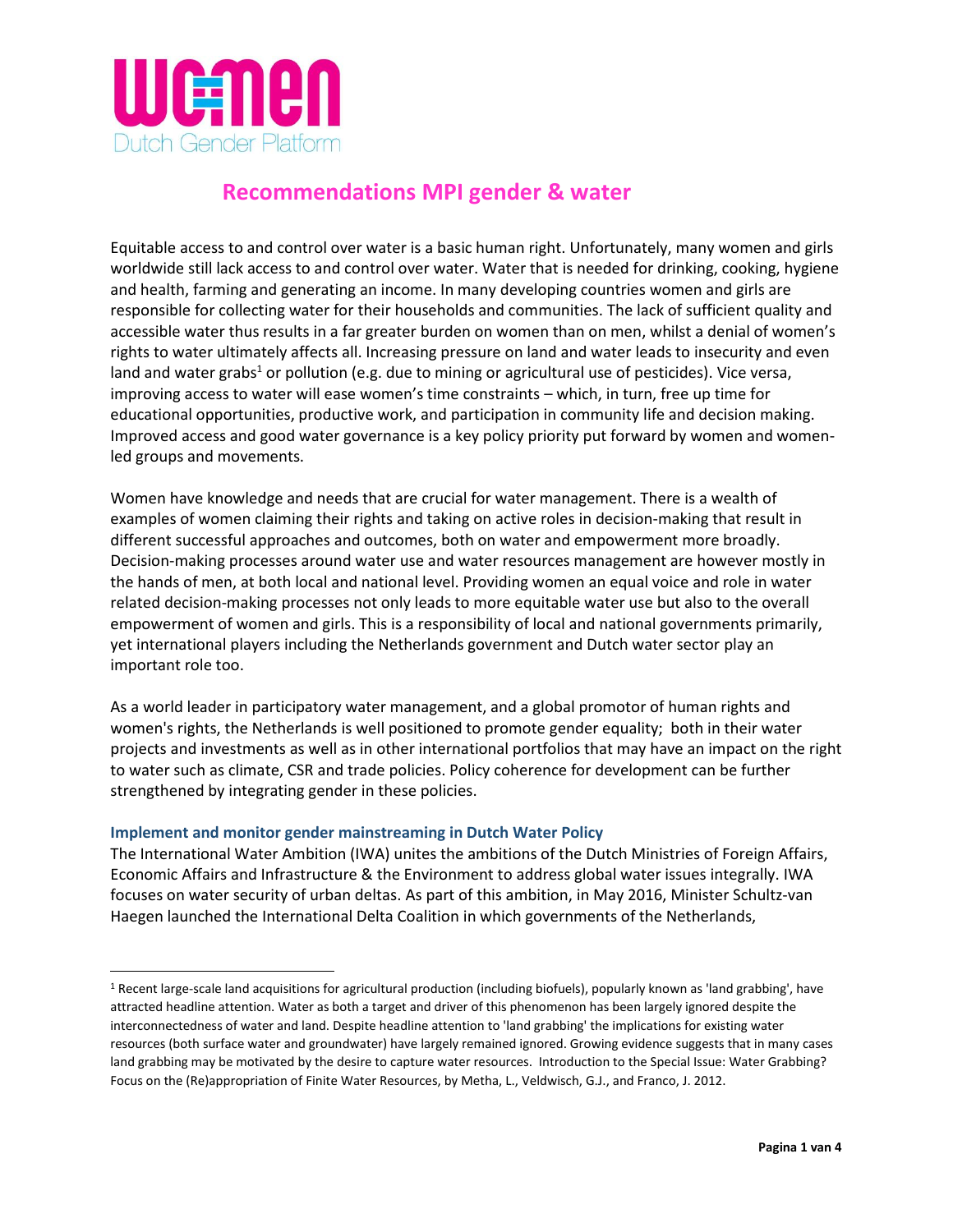

# **Recommendations MPI gender & water**

Equitable access to and control over water is a basic human right. Unfortunately, many women and girls worldwide still lack access to and control over water. Water that is needed for drinking, cooking, hygiene and health, farming and generating an income. In many developing countries women and girls are responsible for collecting water for their households and communities. The lack of sufficient quality and accessible water thus results in a far greater burden on women than on men, whilst a denial of women's rights to water ultimately affects all. Increasing pressure on land and water leads to insecurity and even land and water grabs<sup>1</sup> or pollution (e.g. due to mining or agricultural use of pesticides). Vice versa, improving access to water will ease women's time constraints – which, in turn, free up time for educational opportunities, productive work, and participation in community life and decision making. Improved access and good water governance is a key policy priority put forward by women and womenled groups and movements.

Women have knowledge and needs that are crucial for water management. There is a wealth of examples of women claiming their rights and taking on active roles in decision-making that result in different successful approaches and outcomes, both on water and empowerment more broadly. Decision-making processes around water use and water resources management are however mostly in the hands of men, at both local and national level. Providing women an equal voice and role in water related decision-making processes not only leads to more equitable water use but also to the overall empowerment of women and girls. This is a responsibility of local and national governments primarily, yet international players including the Netherlands government and Dutch water sector play an important role too.

As a world leader in participatory water management, and a global promotor of human rights and women's rights, the Netherlands is well positioned to promote gender equality; both in their water projects and investments as well as in other international portfolios that may have an impact on the right to water such as climate, CSR and trade policies. Policy coherence for development can be further strengthened by integrating gender in these policies.

## **Implement and monitor gender mainstreaming in Dutch Water Policy**

 $\overline{\phantom{a}}$ 

The International Water Ambition (IWA) unites the ambitions of the Dutch Ministries of Foreign Affairs, Economic Affairs and Infrastructure & the Environment to address global water issues integrally. IWA focuses on water security of urban deltas. As part of this ambition, in May 2016, Minister Schultz-van Haegen launched the International Delta Coalition in which governments of the Netherlands,

<sup>1</sup> Recent large-scale land acquisitions for agricultural production (including biofuels), popularly known as 'land grabbing', have attracted headline attention. Water as both a target and driver of this phenomenon has been largely ignored despite the interconnectedness of water and land. Despite headline attention to 'land grabbing' the implications for existing water resources (both surface water and groundwater) have largely remained ignored. Growing evidence suggests that in many cases land grabbing may be motivated by the desire to capture water resources. Introduction to the Special Issue: Water Grabbing? Focus on the (Re)appropriation of Finite Water Resources, by Metha, L., Veldwisch, G.J., and Franco, J. 2012.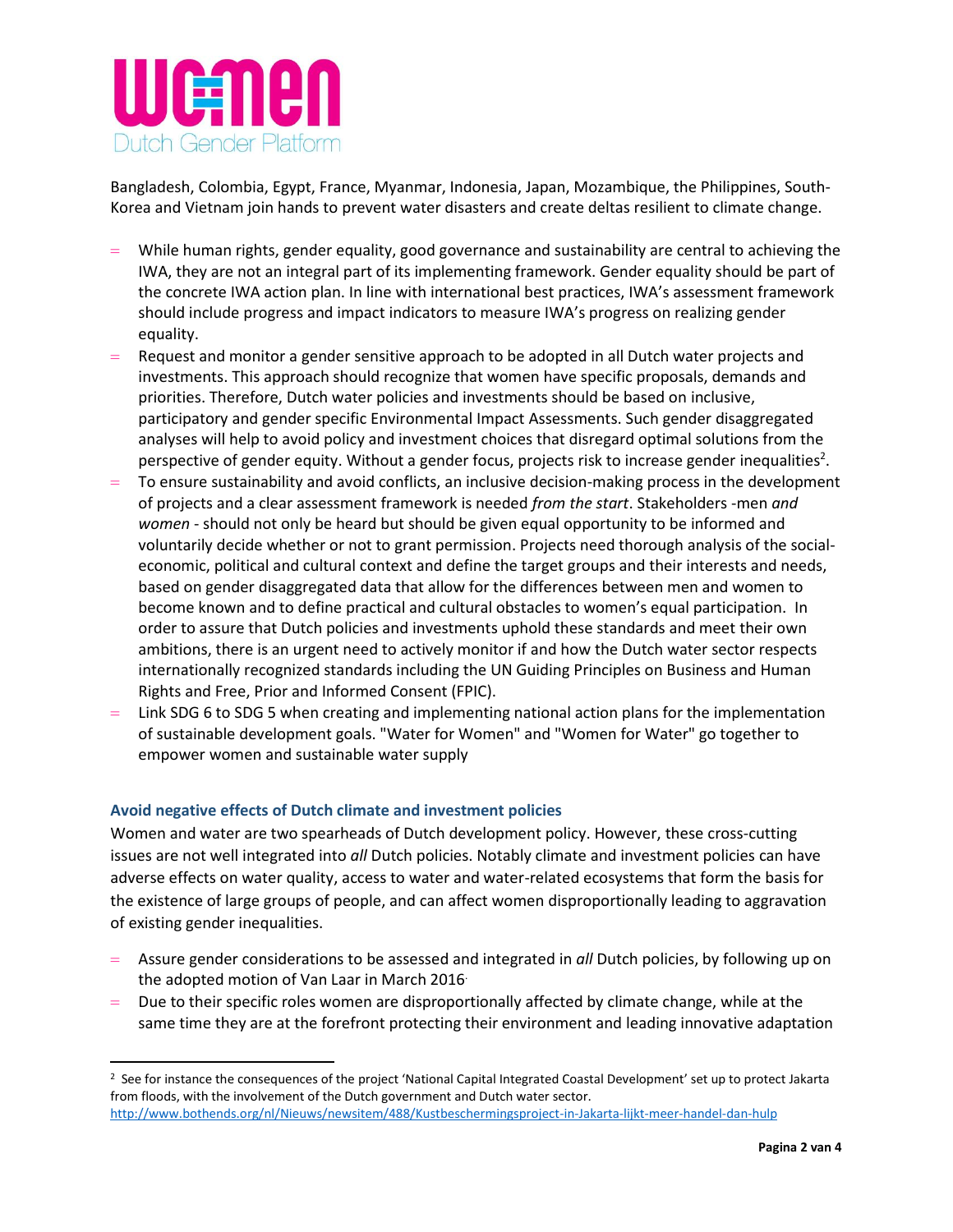

Bangladesh, Colombia, Egypt, France, Myanmar, Indonesia, Japan, Mozambique, the Philippines, South-Korea and Vietnam join hands to prevent water disasters and create deltas resilient to climate change.

- While human rights, gender equality, good governance and sustainability are central to achieving the IWA, they are not an integral part of its implementing framework. Gender equality should be part of the concrete IWA action plan. In line with international best practices, IWA's assessment framework should include progress and impact indicators to measure IWA's progress on realizing gender equality.
- $=$  Request and monitor a gender sensitive approach to be adopted in all Dutch water projects and investments. This approach should recognize that women have specific proposals, demands and priorities. Therefore, Dutch water policies and investments should be based on inclusive, participatory and gender specific Environmental Impact Assessments. Such gender disaggregated analyses will help to avoid policy and investment choices that disregard optimal solutions from the perspective of gender equity. Without a gender focus, projects risk to increase gender inequalities<sup>2</sup>.
- To ensure sustainability and avoid conflicts, an inclusive decision-making process in the development of projects and a clear assessment framework is needed *from the start*. Stakeholders -men *and women* - should not only be heard but should be given equal opportunity to be informed and voluntarily decide whether or not to grant permission. Projects need thorough analysis of the socialeconomic, political and cultural context and define the target groups and their interests and needs, based on gender disaggregated data that allow for the differences between men and women to become known and to define practical and cultural obstacles to women's equal participation. In order to assure that Dutch policies and investments uphold these standards and meet their own ambitions, there is an urgent need to actively monitor if and how the Dutch water sector respects internationally recognized standards including the UN Guiding Principles on Business and Human Rights and Free, Prior and Informed Consent (FPIC).
- Link SDG 6 to SDG 5 when creating and implementing national action plans for the implementation of sustainable development goals. "Water for Women" and "Women for Water" go together to empower women and sustainable water supply

#### **Avoid negative effects of Dutch climate and investment policies**

 $\overline{\phantom{a}}$ 

Women and water are two spearheads of Dutch development policy. However, these cross-cutting issues are not well integrated into *all* Dutch policies. Notably climate and investment policies can have adverse effects on water quality, access to water and water-related ecosystems that form the basis for the existence of large groups of people, and can affect women disproportionally leading to aggravation of existing gender inequalities.

- Assure gender considerations to be assessed and integrated in *all* Dutch policies, by following up on the adopted motion of Van Laar in March 2016.
- Due to their specific roles women are disproportionally affected by climate change, while at the same time they are at the forefront protecting their environment and leading innovative adaptation

<sup>&</sup>lt;sup>2</sup> See for instance the consequences of the project 'National Capital Integrated Coastal Development' set up to protect Jakarta from floods, with the involvement of the Dutch government and Dutch water sector. <http://www.bothends.org/nl/Nieuws/newsitem/488/Kustbeschermingsproject-in-Jakarta-lijkt-meer-handel-dan-hulp>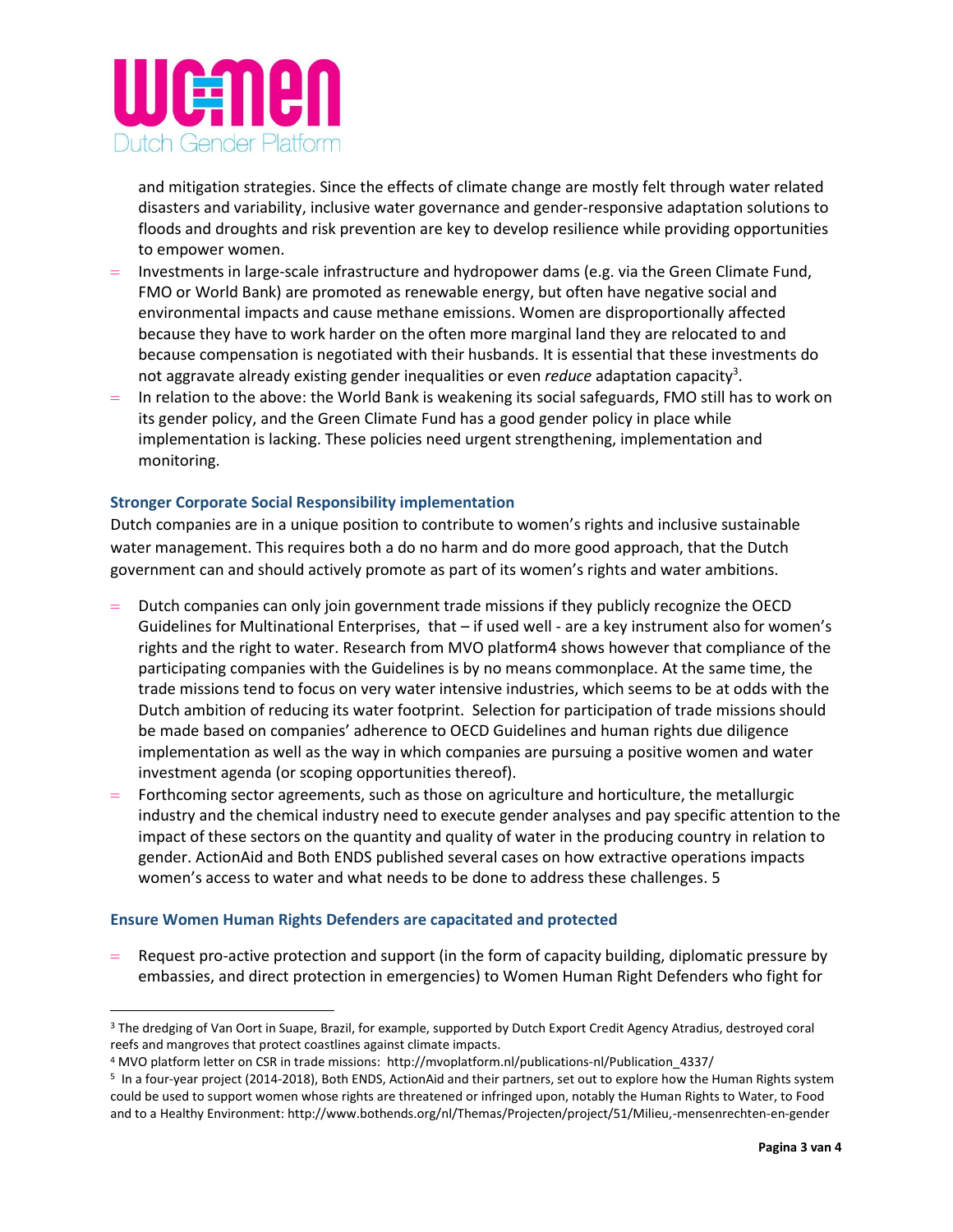

and mitigation strategies. Since the effects of climate change are mostly felt through water related disasters and variability, inclusive water governance and gender-responsive adaptation solutions to floods and droughts and risk prevention are key to develop resilience while providing opportunities to empower women.

- $\blacksquare$  Investments in large-scale infrastructure and hydropower dams (e.g. via the Green Climate Fund, FMO or World Bank) are promoted as renewable energy, but often have negative social and environmental impacts and cause methane emissions. Women are disproportionally affected because they have to work harder on the often more marginal land they are relocated to and because compensation is negotiated with their husbands. It is essential that these investments do not aggravate already existing gender inequalities or even *reduce* adaptation capacity<sup>3</sup>.
- $=$  In relation to the above: the World Bank is weakening its social safeguards, FMO still has to work on its gender policy, and the Green Climate Fund has a good gender policy in place while implementation is lacking. These policies need urgent strengthening, implementation and monitoring.

### **Stronger Corporate Social Responsibility implementation**

Dutch companies are in a unique position to contribute to women's rights and inclusive sustainable water management. This requires both a do no harm and do more good approach, that the Dutch government can and should actively promote as part of its women's rights and water ambitions.

- Dutch companies can only join government trade missions if they publicly recognize the OECD Guidelines for Multinational Enterprises, that – if used well - are a key instrument also for women's rights and the right to water. Research from MVO platform4 shows however that compliance of the participating companies with the Guidelines is by no means commonplace. At the same time, the trade missions tend to focus on very water intensive industries, which seems to be at odds with the Dutch ambition of reducing its water footprint. Selection for participation of trade missions should be made based on companies' adherence to OECD Guidelines and human rights due diligence implementation as well as the way in which companies are pursuing a positive women and water investment agenda (or scoping opportunities thereof).
- Forthcoming sector agreements, such as those on agriculture and horticulture, the metallurgic industry and the chemical industry need to execute gender analyses and pay specific attention to the impact of these sectors on the quantity and quality of water in the producing country in relation to gender. ActionAid and Both ENDS published several cases on how extractive operations impacts women's access to water and what needs to be done to address these challenges. 5

#### **Ensure Women Human Rights Defenders are capacitated and protected**

 $\overline{\phantom{a}}$ 

 $=$  Request pro-active protection and support (in the form of capacity building, diplomatic pressure by embassies, and direct protection in emergencies) to Women Human Right Defenders who fight for

<sup>&</sup>lt;sup>3</sup> The dredging of Van Oort in Suape, Brazil, for example, supported by Dutch Export Credit Agency Atradius, destroyed coral reefs and mangroves that protect coastlines against climate impacts.

<sup>4</sup> MVO platform letter on CSR in trade missions: http://mvoplatform.nl/publications-nl/Publication\_4337/

<sup>5</sup> In a four-year project (2014-2018), Both ENDS, ActionAid and their partners, set out to explore how the Human Rights system could be used to support women whose rights are threatened or infringed upon, notably the Human Rights to Water, to Food and to a Healthy Environment: http://www.bothends.org/nl/Themas/Projecten/project/51/Milieu,-mensenrechten-en-gender